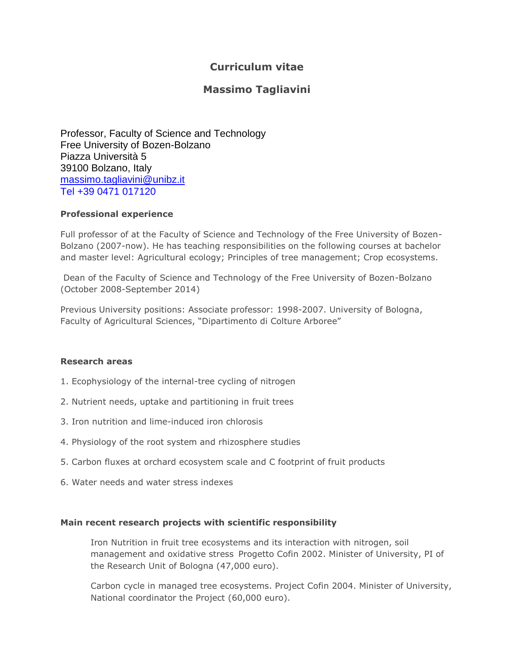# **Curriculum vitae**

# **Massimo Tagliavini**

Professor, Faculty of Science and Technology Free University of Bozen-Bolzano Piazza Università 5 39100 Bolzano, Italy [massimo.tagliavini@unibz.it](mailto:massimo.tagliavini@unibz.it) Tel +39 0471 017120

## **Professional experience**

Full professor of at the Faculty of Science and Technology of the Free University of Bozen-Bolzano (2007-now). He has teaching responsibilities on the following courses at bachelor and master level: Agricultural ecology; Principles of tree management; Crop ecosystems.

Dean of the Faculty of Science and Technology of the Free University of Bozen-Bolzano (October 2008-September 2014)

Previous University positions: Associate professor: 1998-2007. University of Bologna, Faculty of Agricultural Sciences, "Dipartimento di Colture Arboree"

### **Research areas**

- 1. Ecophysiology of the internal-tree cycling of nitrogen
- 2. Nutrient needs, uptake and partitioning in fruit trees
- 3. Iron nutrition and lime-induced iron chlorosis
- 4. Physiology of the root system and rhizosphere studies
- 5. Carbon fluxes at orchard ecosystem scale and C footprint of fruit products
- 6. Water needs and water stress indexes

### **Main recent research projects with scientific responsibility**

Iron Nutrition in fruit tree ecosystems and its interaction with nitrogen, soil management and oxidative stress Progetto Cofin 2002. Minister of University, PI of the Research Unit of Bologna (47,000 euro).

Carbon cycle in managed tree ecosystems. Project Cofin 2004. Minister of University, National coordinator the Project (60,000 euro).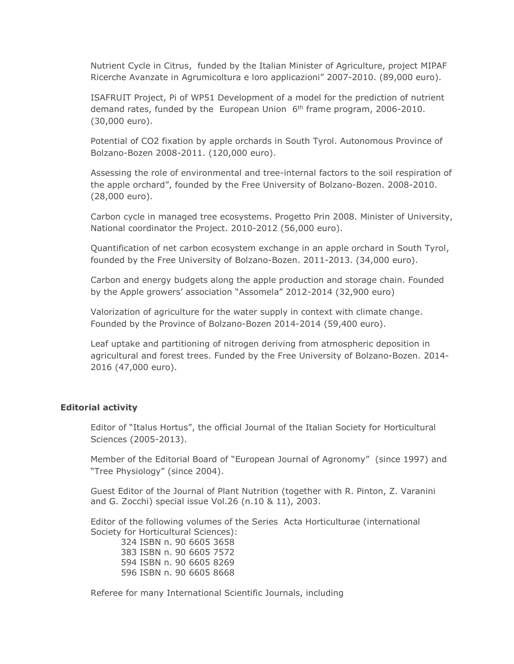Nutrient Cycle in Citrus, funded by the Italian Minister of Agriculture, project MIPAF Ricerche Avanzate in Agrumicoltura e loro applicazioni" 2007-2010. (89,000 euro).

ISAFRUIT Project, Pi of WP51 Development of a model for the prediction of nutrient demand rates, funded by the European Union 6<sup>th</sup> frame program, 2006-2010. (30,000 euro).

Potential of CO2 fixation by apple orchards in South Tyrol. Autonomous Province of Bolzano-Bozen 2008-2011. (120,000 euro).

Assessing the role of environmental and tree-internal factors to the soil respiration of the apple orchard", founded by the Free University of Bolzano-Bozen. 2008-2010. (28,000 euro).

Carbon cycle in managed tree ecosystems. Progetto Prin 2008. Minister of University, National coordinator the Project. 2010-2012 (56,000 euro).

Quantification of net carbon ecosystem exchange in an apple orchard in South Tyrol, founded by the Free University of Bolzano-Bozen. 2011-2013. (34,000 euro).

Carbon and energy budgets along the apple production and storage chain. Founded by the Apple growers' association "Assomela" 2012-2014 (32,900 euro)

Valorization of agriculture for the water supply in context with climate change. Founded by the Province of Bolzano-Bozen 2014-2014 (59,400 euro).

Leaf uptake and partitioning of nitrogen deriving from atmospheric deposition in agricultural and forest trees. Funded by the Free University of Bolzano-Bozen. 2014- 2016 (47,000 euro).

#### **Editorial activity**

Editor of "Italus Hortus", the official Journal of the Italian Society for Horticultural Sciences (2005-2013).

Member of the Editorial Board of "European Journal of Agronomy" (since 1997) and "Tree Physiology" (since 2004).

Guest Editor of the Journal of Plant Nutrition (together with R. Pinton, Z. Varanini and G. Zocchi) special issue Vol.26 (n.10 & 11), 2003.

Editor of the following volumes of the Series Acta Horticulturae (international Society for Horticultural Sciences):

324 ISBN n. 90 6605 3658 383 ISBN n. 90 6605 7572 594 ISBN n. 90 6605 8269 596 ISBN n. 90 6605 8668

Referee for many International Scientific Journals, including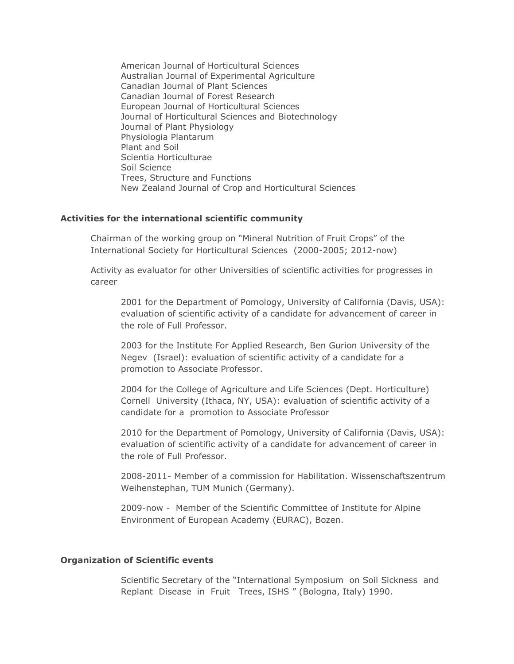American Journal of Horticultural Sciences Australian Journal of Experimental Agriculture Canadian Journal of Plant Sciences Canadian Journal of Forest Research European Journal of Horticultural Sciences Journal of Horticultural Sciences and Biotechnology Journal of Plant Physiology Physiologia Plantarum Plant and Soil Scientia Horticulturae Soil Science Trees, Structure and Functions New Zealand Journal of Crop and Horticultural Sciences

#### **Activities for the international scientific community**

Chairman of the working group on "Mineral Nutrition of Fruit Crops" of the International Society for Horticultural Sciences (2000-2005; 2012-now)

Activity as evaluator for other Universities of scientific activities for progresses in career

2001 for the Department of Pomology, University of California (Davis, USA): evaluation of scientific activity of a candidate for advancement of career in the role of Full Professor.

2003 for the Institute For Applied Research, Ben Gurion University of the Negev (Israel): evaluation of scientific activity of a candidate for a promotion to Associate Professor.

2004 for the College of Agriculture and Life Sciences (Dept. Horticulture) Cornell University (Ithaca, NY, USA): evaluation of scientific activity of a candidate for a promotion to Associate Professor

2010 for the Department of Pomology, University of California (Davis, USA): evaluation of scientific activity of a candidate for advancement of career in the role of Full Professor.

2008-2011- Member of a commission for Habilitation. Wissenschaftszentrum Weihenstephan, TUM Munich (Germany).

2009-now - Member of the Scientific Committee of Institute for Alpine Environment of European Academy (EURAC), Bozen.

#### **Organization of Scientific events**

Scientific Secretary of the "International Symposium on Soil Sickness and Replant Disease in Fruit Trees, ISHS " (Bologna, Italy) 1990.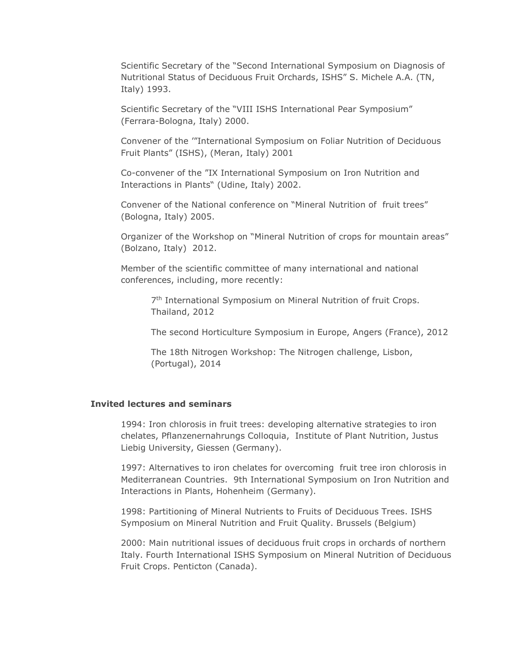Scientific Secretary of the "Second International Symposium on Diagnosis of Nutritional Status of Deciduous Fruit Orchards, ISHS" S. Michele A.A. (TN, Italy) 1993.

Scientific Secretary of the "VIII ISHS International Pear Symposium" (Ferrara-Bologna, Italy) 2000.

Convener of the '"International Symposium on Foliar Nutrition of Deciduous Fruit Plants" (ISHS), (Meran, Italy) 2001

Co-convener of the "IX International Symposium on Iron Nutrition and Interactions in Plants" (Udine, Italy) 2002.

Convener of the National conference on "Mineral Nutrition of fruit trees" (Bologna, Italy) 2005.

Organizer of the Workshop on "Mineral Nutrition of crops for mountain areas" (Bolzano, Italy) 2012.

Member of the scientific committee of many international and national conferences, including, more recently:

7<sup>th</sup> International Symposium on Mineral Nutrition of fruit Crops. Thailand, 2012

The second Horticulture Symposium in Europe, Angers (France), 2012

The 18th Nitrogen Workshop: The Nitrogen challenge, Lisbon, (Portugal), 2014

#### **Invited lectures and seminars**

1994: Iron chlorosis in fruit trees: developing alternative strategies to iron chelates, Pflanzenernahrungs Colloquia, Institute of Plant Nutrition, Justus Liebig University, Giessen (Germany).

1997: Alternatives to iron chelates for overcoming fruit tree iron chlorosis in Mediterranean Countries. 9th International Symposium on Iron Nutrition and Interactions in Plants, Hohenheim (Germany).

1998: Partitioning of Mineral Nutrients to Fruits of Deciduous Trees. ISHS Symposium on Mineral Nutrition and Fruit Quality. Brussels (Belgium)

2000: Main nutritional issues of deciduous fruit crops in orchards of northern Italy. Fourth International ISHS Symposium on Mineral Nutrition of Deciduous Fruit Crops. Penticton (Canada).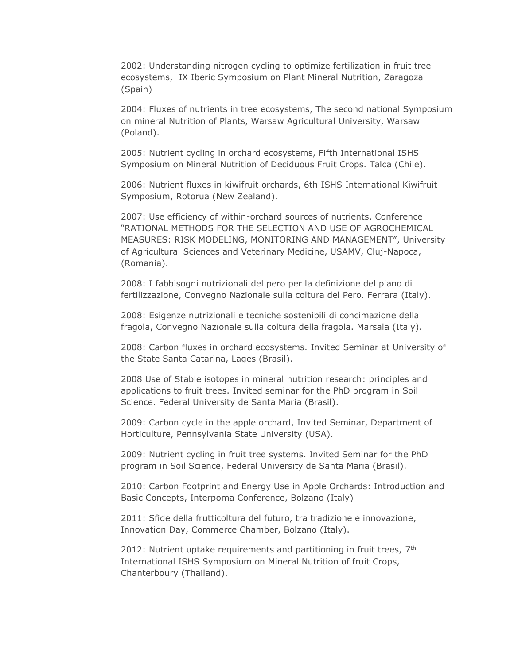2002: Understanding nitrogen cycling to optimize fertilization in fruit tree ecosystems, IX Iberic Symposium on Plant Mineral Nutrition, Zaragoza (Spain)

2004: Fluxes of nutrients in tree ecosystems, The second national Symposium on mineral Nutrition of Plants, Warsaw Agricultural University, Warsaw (Poland).

2005: Nutrient cycling in orchard ecosystems, Fifth International ISHS Symposium on Mineral Nutrition of Deciduous Fruit Crops. Talca (Chile).

2006: Nutrient fluxes in kiwifruit orchards, 6th ISHS International Kiwifruit Symposium, Rotorua (New Zealand).

2007: Use efficiency of within-orchard sources of nutrients, Conference "RATIONAL METHODS FOR THE SELECTION AND USE OF AGROCHEMICAL MEASURES: RISK MODELING, MONITORING AND MANAGEMENT", University of Agricultural Sciences and Veterinary Medicine, USAMV, Cluj-Napoca, (Romania).

2008: I fabbisogni nutrizionali del pero per la definizione del piano di fertilizzazione, Convegno Nazionale sulla coltura del Pero. Ferrara (Italy).

2008: Esigenze nutrizionali e tecniche sostenibili di concimazione della fragola, Convegno Nazionale sulla coltura della fragola. Marsala (Italy).

2008: Carbon fluxes in orchard ecosystems. Invited Seminar at University of the State Santa Catarina, Lages (Brasil).

2008 Use of Stable isotopes in mineral nutrition research: principles and applications to fruit trees. Invited seminar for the PhD program in Soil Science. Federal University de Santa Maria (Brasil).

2009: Carbon cycle in the apple orchard, Invited Seminar, Department of Horticulture, Pennsylvania State University (USA).

2009: Nutrient cycling in fruit tree systems. Invited Seminar for the PhD program in Soil Science, Federal University de Santa Maria (Brasil).

2010: Carbon Footprint and Energy Use in Apple Orchards: Introduction and Basic Concepts, Interpoma Conference, Bolzano (Italy)

2011: Sfide della frutticoltura del futuro, tra tradizione e innovazione, Innovation Day, Commerce Chamber, Bolzano (Italy).

2012: Nutrient uptake requirements and partitioning in fruit trees,  $7<sup>th</sup>$ International ISHS Symposium on Mineral Nutrition of fruit Crops, Chanterboury (Thailand).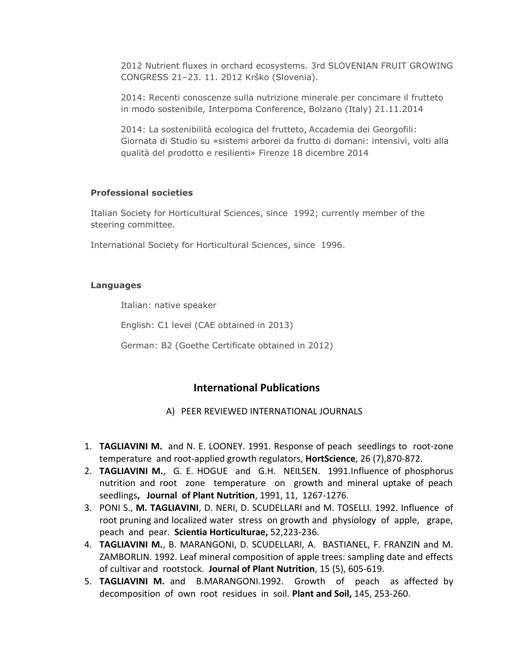2012 Nutrient fluxes in orchard ecosystems. 3rd SLOVENIAN FRUIT GROWING CONGRESS 21–23. 11. 2012 Krško (Slovenia).

2014: Recenti conoscenze sulla nutrizione minerale per concimare il frutteto in modo sostenibile, Interpoma Conference, Bolzano (Italy) 21.11.2014

2014: La sostenibilità ecologica del frutteto, Accademia dei Georgofili: Giornata di Studio su «sistemi arborei da frutto di domani: intensivi, volti alla qualità del prodotto e resilienti» Firenze 18 dicembre 2014

### **Professional societies**

Italian Society for Horticultural Sciences, since 1992; currently member of the steering committee.

International Society for Horticultural Sciences, since 1996.

## **Languages**

Italian: native speaker

English: C1 level (CAE obtained in 2013)

German: B2 (Goethe Certificate obtained in 2012)

## **International Publications**

## A) PEER REVIEWED INTERNATIONAL JOURNALS

- 1. **TAGLIAVINI M.** and N. E. LOONEY. 1991. Response of peach seedlings to root-zone temperature and root-applied growth regulators, **HortScience**, 26 (7),870-872.
- 2. **TAGLIAVINI M.**, G. E. HOGUE and G.H. NEILSEN. 1991.Influence of phosphorus nutrition and root zone temperature on growth and mineral uptake of peach seedlings**, Journal of Plant Nutrition**, 1991, 11, 1267-1276.
- 3. PONI S., **M. TAGLIAVINI**, D. NERI, D. SCUDELLARI and M. TOSELLI. 1992. Influence of root pruning and localized water stress on growth and physiology of apple, grape, peach and pear. **Scientia Horticulturae,** 52,223-236.
- 4. **TAGLIAVINI M.**, B. MARANGONI, D. SCUDELLARI, A. BASTIANEL, F. FRANZIN and M. ZAMBORLIN. 1992. Leaf mineral composition of apple trees: sampling date and effects of cultivar and rootstock. **Journal of Plant Nutrition**, 15 (5), 605-619.
- 5. **TAGLIAVINI M.** and B.MARANGONI.1992. Growth of peach as affected by decomposition of own root residues in soil. **Plant and Soil,** 145, 253-260.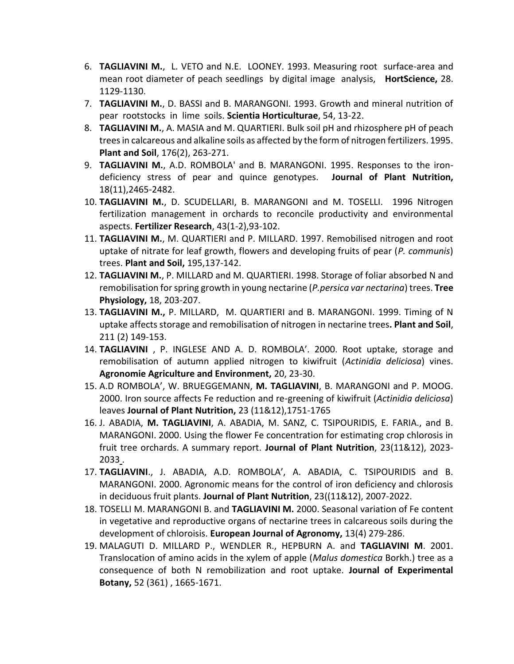- 6. **TAGLIAVINI M.**, L. VETO and N.E. LOONEY. 1993. Measuring root surface-area and mean root diameter of peach seedlings by digital image analysis, **HortScience,** 28. 1129-1130.
- 7. **TAGLIAVINI M.**, D. BASSI and B. MARANGONI. 1993. Growth and mineral nutrition of pear rootstocks in lime soils. **Scientia Horticulturae**, 54, 13-22.
- 8. **TAGLIAVINI M.**, A. MASIA and M. QUARTIERI. Bulk soil pH and rhizosphere pH of peach trees in calcareous and alkaline soils as affected by the form of nitrogen fertilizers. 1995. **Plant and Soil**, 176(2), 263-271.
- 9. **TAGLIAVINI M.**, A.D. ROMBOLA' and B. MARANGONI. 1995. Responses to the irondeficiency stress of pear and quince genotypes. **Journal of Plant Nutrition,** 18(11),2465-2482.
- 10. **TAGLIAVINI M.**, D. SCUDELLARI, B. MARANGONI and M. TOSELLI. 1996 Nitrogen fertilization management in orchards to reconcile productivity and environmental aspects. **Fertilizer Research**, 43(1-2),93-102.
- 11. **TAGLIAVINI M.**, M. QUARTIERI and P. MILLARD. 1997. Remobilised nitrogen and root uptake of nitrate for leaf growth, flowers and developing fruits of pear (*P. communis*) trees. **Plant and Soil,** 195,137-142.
- 12. **TAGLIAVINI M.**, P. MILLARD and M. QUARTIERI. 1998. Storage of foliar absorbed N and remobilisation for spring growth in young nectarine (*P.persica var nectarina*) trees. **Tree Physiology,** 18, 203-207.
- 13. **TAGLIAVINI M.,** P. MILLARD, M. QUARTIERI and B. MARANGONI. 1999. Timing of N uptake affects storage and remobilisation of nitrogen in nectarine trees**. Plant and Soil**, 211 (2) 149-153.
- 14. **TAGLIAVINI** , P. INGLESE AND A. D. ROMBOLA'. 2000. Root uptake, storage and remobilisation of autumn applied nitrogen to kiwifruit (*Actinidia deliciosa*) vines. **Agronomie Agriculture and Environment,** 20, 23-30.
- 15. A.D ROMBOLA', W. BRUEGGEMANN, **M. TAGLIAVINI**, B. MARANGONI and P. MOOG. 2000. Iron source affects Fe reduction and re-greening of kiwifruit (*Actinidia deliciosa*) leaves **Journal of Plant Nutrition,** 23 (11&12),1751-1765
- 16. J. ABADIA, **M. TAGLIAVINI**, A. ABADIA, M. SANZ, C. TSIPOURIDIS, E. FARIA., and B. MARANGONI. 2000. Using the flower Fe concentration for estimating crop chlorosis in fruit tree orchards. A summary report. **Journal of Plant Nutrition**, 23(11&12), 2023- 2033 .
- 17. **TAGLIAVINI**., J. ABADIA, A.D. ROMBOLA', A. ABADIA, C. TSIPOURIDIS and B. MARANGONI. 2000. Agronomic means for the control of iron deficiency and chlorosis in deciduous fruit plants. **Journal of Plant Nutrition**, 23((11&12), 2007-2022.
- 18. TOSELLI M. MARANGONI B. and **TAGLIAVINI M.** 2000. Seasonal variation of Fe content in vegetative and reproductive organs of nectarine trees in calcareous soils during the development of chloroisis. **European Journal of Agronomy,** 13(4) 279-286.
- 19. MALAGUTI D. MILLARD P., WENDLER R., HEPBURN A. and **TAGLIAVINI M**. 2001. Translocation of amino acids in the xylem of apple (*Malus domestica* Borkh.) tree as a consequence of both N remobilization and root uptake. **Journal of Experimental Botany,** 52 (361) , 1665-1671.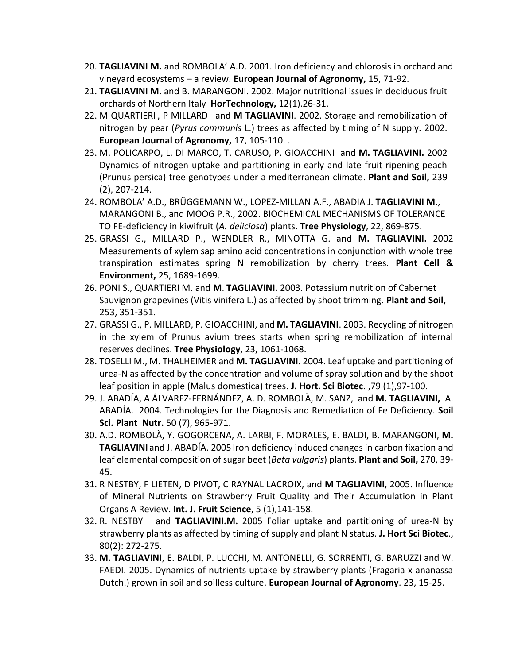- 20. **TAGLIAVINI M.** and ROMBOLA' A.D. 2001. Iron deficiency and chlorosis in orchard and vineyard ecosystems – a review. **European Journal of Agronomy,** 15, 71-92.
- 21. **TAGLIAVINI M**. and B. MARANGONI. 2002. Major nutritional issues in deciduous fruit orchards of Northern Italy **HorTechnology,** 12(1).26-31.
- 22. M QUARTIERI , P MILLARD and **M TAGLIAVINI**. 2002. Storage and remobilization of nitrogen by pear (*Pyrus communis* L.) trees as affected by timing of N supply. 2002. **European Journal of Agronomy,** 17, 105-110. .
- 23. M. POLICARPO, L. DI MARCO, T. CARUSO, P. GIOACCHINI and **M. TAGLIAVINI.** 2002 Dynamics of nitrogen uptake and partitioning in early and late fruit ripening peach (Prunus persica) tree genotypes under a mediterranean climate. **Plant and Soil,** 239 (2), 207-214.
- 24. ROMBOLA' A.D., BRÜGGEMANN W., LOPEZ-MILLAN A.F., ABADIA J. **TAGLIAVINI M**., MARANGONI B., and MOOG P.R., 2002. BIOCHEMICAL MECHANISMS OF TOLERANCE TO FE-deficiency in kiwifruit (*A. deliciosa*) plants. **Tree Physiology**, 22, 869-875.
- 25. GRASSI G., MILLARD P., WENDLER R., MINOTTA G. and **M. TAGLIAVINI.** 2002 Measurements of xylem sap amino acid concentrations in conjunction with whole tree transpiration estimates spring N remobilization by cherry trees. **Plant Cell & Environment,** 25, 1689-1699.
- 26. PONI S., QUARTIERI M. and **M**. **TAGLIAVINI.** 2003. Potassium nutrition of Cabernet Sauvignon grapevines (Vitis vinifera L.) as affected by shoot trimming. **Plant and Soil**, 253, 351-351.
- 27. GRASSI G., P. MILLARD, P. GIOACCHINI, and **M. TAGLIAVINI**. 2003. Recycling of nitrogen in the xylem of Prunus avium trees starts when spring remobilization of internal reserves declines. **Tree Physiology**, 23, 1061-1068.
- 28. TOSELLI M., M. THALHEIMER and **M. TAGLIAVINI**. 2004. Leaf uptake and partitioning of urea-N as affected by the concentration and volume of spray solution and by the shoot leaf position in apple (Malus domestica) trees. **J. Hort. Sci Biotec**. ,79 (1),97-100.
- 29. J. ABADÍA, A ÁLVAREZ-FERNÁNDEZ, A. D. ROMBOLÀ, M. SANZ, and **M. TAGLIAVINI,** A. ABADÍA. 2004. Technologies for the Diagnosis and Remediation of Fe Deficiency. **Soil Sci. Plant Nutr.** 50 (7), 965-971.
- 30. A.D. ROMBOLÀ, Y. GOGORCENA, A. LARBI, F. MORALES, E. BALDI, B. MARANGONI, **M. TAGLIAVINI** and J. ABADÍA. 2005 Iron deficiency induced changes in carbon fixation and leaf elemental composition of sugar beet (*Beta vulgaris*) plants. **Plant and Soil,** 270, 39- 45.
- 31. R NESTBY, F LIETEN, D PIVOT, C RAYNAL LACROIX, and **M TAGLIAVINI**, 2005. Influence of Mineral Nutrients on Strawberry Fruit Quality and Their Accumulation in Plant Organs A Review. **Int. J. Fruit Science**, 5 (1),141-158.
- 32. R. NESTBY and **TAGLIAVINI.M.** 2005 Foliar uptake and partitioning of urea-N by strawberry plants as affected by timing of supply and plant N status. **J. Hort Sci Biotec**., 80(2): 272-275.
- 33. **M. TAGLIAVINI**, E. BALDI, P. LUCCHI, M. ANTONELLI, G. SORRENTI, G. BARUZZI and W. FAEDI. 2005. Dynamics of nutrients uptake by strawberry plants (Fragaria x ananassa Dutch.) grown in soil and soilless culture. **European Journal of Agronomy**. 23, 15-25.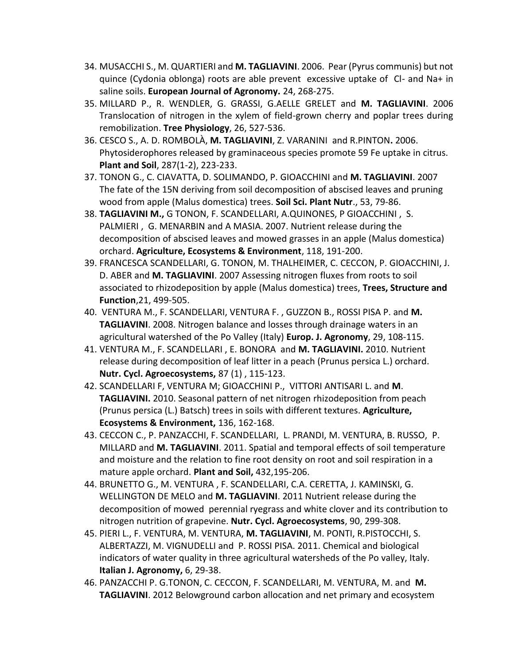- 34. MUSACCHI S., M. QUARTIERI and **M. TAGLIAVINI**. 2006. Pear (Pyrus communis) but not quince (Cydonia oblonga) roots are able prevent excessive uptake of Cl- and Na+ in saline soils. **European Journal of Agronomy.** 24, 268-275.
- 35. MILLARD P., R. WENDLER, G. GRASSI, G.AELLE GRELET and **M. TAGLIAVINI**. 2006 Translocation of nitrogen in the xylem of field-grown cherry and poplar trees during remobilization. **Tree Physiology**, 26, 527-536.
- 36. CESCO S., A. D. ROMBOLÀ, **M. TAGLIAVINI**, Z. VARANINI and R.PINTON**.** 2006. Phytosiderophores released by graminaceous species promote 59 Fe uptake in citrus. **Plant and Soil**, 287(1-2), 223-233.
- 37. TONON G., C. CIAVATTA, D. SOLIMANDO, P. GIOACCHINI and **M. TAGLIAVINI**. 2007 The fate of the 15N deriving from soil decomposition of abscised leaves and pruning wood from apple (Malus domestica) trees. **Soil Sci. Plant Nutr**., 53, 79-86.
- 38. **TAGLIAVINI M.,** G TONON, F. SCANDELLARI, A.QUINONES, P GIOACCHINI , S. PALMIERI , G. MENARBIN and A MASIA. 2007. Nutrient release during the decomposition of abscised leaves and mowed grasses in an apple (Malus domestica) orchard. **Agriculture, Ecosystems & Environment**, 118, 191-200.
- 39. FRANCESCA SCANDELLARI, G. TONON, M. THALHEIMER, C. CECCON, P. GIOACCHINI, J. D. ABER and **M. TAGLIAVINI**. 2007 Assessing nitrogen fluxes from roots to soil associated to rhizodeposition by apple (Malus domestica) trees, **Trees, Structure and Function**,21, 499-505.
- 40. VENTURA M., F. SCANDELLARI, VENTURA F. , GUZZON B., ROSSI PISA P. and **M. TAGLIAVINI**. 2008. Nitrogen balance and losses through drainage waters in an agricultural watershed of the Po Valley (Italy) **Europ. J. Agronomy**, 29, 108-115.
- 41. VENTURA M., F. SCANDELLARI , E. BONORA and **M. TAGLIAVINI.** 2010. Nutrient release during decomposition of leaf litter in a peach (Prunus persica L.) orchard. **Nutr. Cycl. Agroecosystems,** 87 (1) , 115-123.
- 42. SCANDELLARI F, VENTURA M; GIOACCHINI P., VITTORI ANTISARI L. and **M**. **TAGLIAVINI.** 2010. Seasonal pattern of net nitrogen rhizodeposition from peach (Prunus persica (L.) Batsch) trees in soils with different textures. **Agriculture, Ecosystems & Environment,** 136, 162-168.
- 43. CECCON C., P. PANZACCHI, F. SCANDELLARI, L. PRANDI, M. VENTURA, B. RUSSO, P. MILLARD and **M. TAGLIAVINI**. 2011. Spatial and temporal effects of soil temperature and moisture and the relation to fine root density on root and soil respiration in a mature apple orchard. **Plant and Soil,** 432,195-206.
- 44. BRUNETTO G., M. VENTURA , F. SCANDELLARI, C.A. CERETTA, J. KAMINSKI, G. WELLINGTON DE MELO and **M. TAGLIAVINI**. 2011 Nutrient release during the decomposition of mowed perennial ryegrass and white clover and its contribution to nitrogen nutrition of grapevine. **Nutr. Cycl. Agroecosystems**, 90, 299-308.
- 45. PIERI L., F. VENTURA, M. VENTURA, **M. TAGLIAVINI**, M. PONTI, R.PISTOCCHI, S. ALBERTAZZI, M. VIGNUDELLI and P. ROSSI PISA. 2011. Chemical and biological indicators of water quality in three agricultural watersheds of the Po valley, Italy. **Italian J. Agronomy,** 6, 29-38.
- 46. PANZACCHI P. G.TONON, C. CECCON, F. SCANDELLARI, M. VENTURA, M. and **M. TAGLIAVINI**. 2012 Belowground carbon allocation and net primary and ecosystem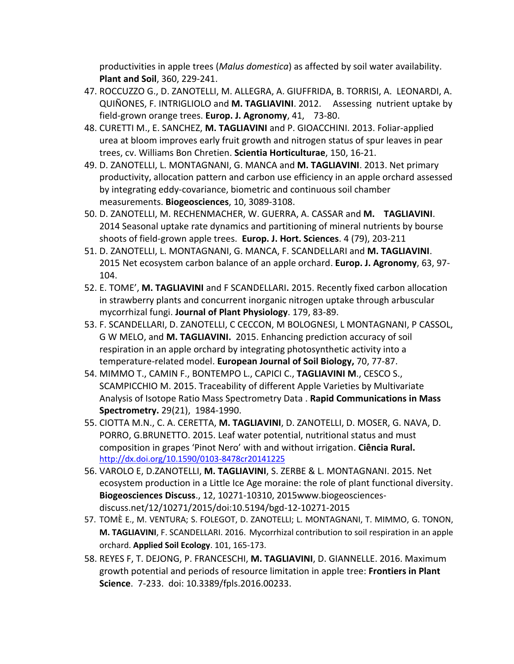productivities in apple trees (*Malus domestica*) as affected by soil water availability. **Plant and Soil**, 360, 229-241.

- 47. ROCCUZZO G., D. ZANOTELLI, M. ALLEGRA, A. GIUFFRIDA, B. TORRISI, A. LEONARDI, A. QUIÑONES, F. INTRIGLIOLO and **M. TAGLIAVINI**. 2012. Assessing nutrient uptake by field-grown orange trees. **Europ. J. Agronomy**, 41, 73-80.
- 48. CURETTI M., E. SANCHEZ, **M. TAGLIAVINI** and P. GIOACCHINI. 2013. Foliar-applied urea at bloom improves early fruit growth and nitrogen status of spur leaves in pear trees, cv. Williams Bon Chretien. **Scientia Horticulturae**, 150, 16-21.
- 49. D. ZANOTELLI, L. MONTAGNANI, G. MANCA and **M. TAGLIAVINI**. 2013. Net primary productivity, allocation pattern and carbon use efficiency in an apple orchard assessed by integrating eddy-covariance, biometric and continuous soil chamber measurements. **Biogeosciences**, 10, 3089-3108.
- 50. D. ZANOTELLI, M. RECHENMACHER, W. GUERRA, A. CASSAR and **M. TAGLIAVINI**. 2014 Seasonal uptake rate dynamics and partitioning of mineral nutrients by bourse shoots of field-grown apple trees. **Europ. J. Hort. Sciences**. 4 (79), 203-211
- 51. D. ZANOTELLI, L. MONTAGNANI, G. MANCA, F. SCANDELLARI and **M. TAGLIAVINI**. 2015 Net ecosystem carbon balance of an apple orchard. **Europ. J. Agronomy**, 63, 97- 104.
- 52. E. TOME', **M. TAGLIAVINI** and F SCANDELLARI**.** 2015. Recently fixed carbon allocation in strawberry plants and concurrent inorganic nitrogen uptake through arbuscular mycorrhizal fungi. **Journal of Plant Physiology**. 179, 83-89.
- 53. F. SCANDELLARI, D. ZANOTELLI, C CECCON, M BOLOGNESI, L MONTAGNANI, P CASSOL, G W MELO, and **M. TAGLIAVINI.** 2015. Enhancing prediction accuracy of soil respiration in an apple orchard by integrating photosynthetic activity into a temperature-related model. **European Journal of Soil Biology,** 70, 77-87.
- 54. MIMMO T., CAMIN F., BONTEMPO L., CAPICI C., **TAGLIAVINI M**., CESCO S., SCAMPICCHIO M. 2015. Traceability of different Apple Varieties by Multivariate Analysis of Isotope Ratio Mass Spectrometry Data . **Rapid Communications in Mass Spectrometry.** 29(21), 1984-1990.
- 55. CIOTTA M.N., C. A. CERETTA, **M. TAGLIAVINI**, D. ZANOTELLI, D. MOSER, G. NAVA, D. PORRO, G.BRUNETTO. 2015. Leaf water potential, nutritional status and must composition in grapes 'Pinot Nero' with and without irrigation. **Ciência Rural.**  <http://dx.doi.org/10.1590/0103-8478cr20141225>
- 56. VAROLO E, D.ZANOTELLI, **M. TAGLIAVINI**, S. ZERBE & L. MONTAGNANI. 2015. Net ecosystem production in a Little Ice Age moraine: the role of plant functional diversity. **Biogeosciences Discuss**., 12, 10271-10310, 2015www.biogeosciencesdiscuss.net/12/10271/2015/doi:10.5194/bgd-12-10271-2015
- 57. TOMÈ E., M. VENTURA; S. FOLEGOT, D. ZANOTELLI; L. MONTAGNANI, T. MIMMO, G. TONON, **M. TAGLIAVINI**, F. SCANDELLARI. 2016. Mycorrhizal contribution to soil respiration in an apple orchard. **Applied Soil Ecology**. 101, 165-173.
- 58. REYES F, T. DEJONG, P. FRANCESCHI, **M. TAGLIAVINI**, D. GIANNELLE. 2016. Maximum growth potential and periods of resource limitation in apple tree: **Frontiers in Plant Science**. 7-233. doi: 10.3389/fpls.2016.00233.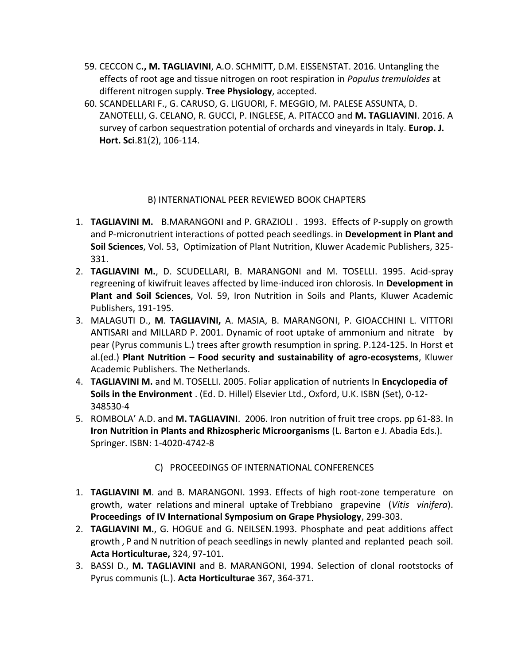- 59. CECCON C**., M. TAGLIAVINI**, A.O. SCHMITT, D.M. EISSENSTAT. 2016. Untangling the effects of root age and tissue nitrogen on root respiration in *Populus tremuloides* at different nitrogen supply. **Tree Physiology**, accepted.
- 60. SCANDELLARI F., G. CARUSO, G. LIGUORI, F. MEGGIO, M. PALESE ASSUNTA, D. ZANOTELLI, G. CELANO, R. GUCCI, P. INGLESE, A. PITACCO and **M. TAGLIAVINI**. 2016. A survey of carbon sequestration potential of orchards and vineyards in Italy. **Europ. J. Hort. Sci**.81(2), 106-114.

## B) INTERNATIONAL PEER REVIEWED BOOK CHAPTERS

- 1. **TAGLIAVINI M.** B.MARANGONI and P. GRAZIOLI . 1993. Effects of P-supply on growth and P-micronutrient interactions of potted peach seedlings. in **Development in Plant and Soil Sciences**, Vol. 53, Optimization of Plant Nutrition, Kluwer Academic Publishers, 325- 331.
- 2. **TAGLIAVINI M.**, D. SCUDELLARI, B. MARANGONI and M. TOSELLI. 1995. Acid-spray regreening of kiwifruit leaves affected by lime-induced iron chlorosis. In **Development in Plant and Soil Sciences**, Vol. 59, Iron Nutrition in Soils and Plants, Kluwer Academic Publishers, 191-195.
- 3. MALAGUTI D., **M**. **TAGLIAVINI,** A. MASIA, B. MARANGONI, P. GIOACCHINI L. VITTORI ANTISARI and MILLARD P. 2001. Dynamic of root uptake of ammonium and nitrate by pear (Pyrus communis L.) trees after growth resumption in spring. P.124-125. In Horst et al.(ed.) **Plant Nutrition – Food security and sustainability of agro-ecosystems**, Kluwer Academic Publishers. The Netherlands.
- 4. **TAGLIAVINI M.** and M. TOSELLI. 2005. Foliar application of nutrients In **Encyclopedia of Soils in the Environment** . (Ed. D. Hillel) Elsevier Ltd., Oxford, U.K. ISBN (Set), 0-12- 348530-4
- 5. ROMBOLA' A.D. and **M. TAGLIAVINI**. 2006. Iron nutrition of fruit tree crops. pp 61-83. In **Iron Nutrition in Plants and Rhizospheric Microorganisms** (L. Barton e J. Abadia Eds.). Springer. ISBN: 1-4020-4742-8

## C) PROCEEDINGS OF INTERNATIONAL CONFERENCES

- 1. **TAGLIAVINI M**. and B. MARANGONI. 1993. Effects of high root-zone temperature on growth, water relations and mineral uptake of Trebbiano grapevine (*Vitis vinifera*). **Proceedings of IV International Symposium on Grape Physiology**, 299-303.
- 2. **TAGLIAVINI M.**, G. HOGUE and G. NEILSEN.1993. Phosphate and peat additions affect growth , P and N nutrition of peach seedlings in newly planted and replanted peach soil. **Acta Horticulturae,** 324, 97-101.
- 3. BASSI D., **M. TAGLIAVINI** and B. MARANGONI, 1994. Selection of clonal rootstocks of Pyrus communis (L.). **Acta Horticulturae** 367, 364-371.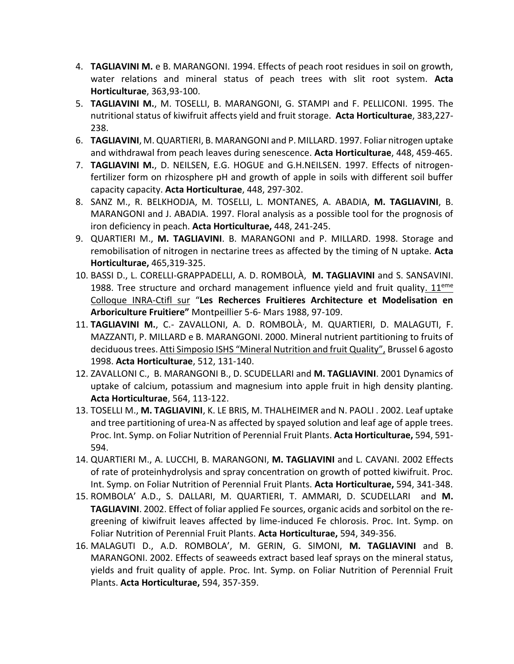- 4. **TAGLIAVINI M.** e B. MARANGONI. 1994. Effects of peach root residues in soil on growth, water relations and mineral status of peach trees with slit root system. **Acta Horticulturae**, 363,93-100.
- 5. **TAGLIAVINI M.**, M. TOSELLI, B. MARANGONI, G. STAMPI and F. PELLICONI. 1995. The nutritional status of kiwifruit affects yield and fruit storage. **Acta Horticulturae**, 383,227- 238.
- 6. **TAGLIAVINI**, M. QUARTIERI, B. MARANGONI and P. MILLARD. 1997. Foliar nitrogen uptake and withdrawal from peach leaves during senescence. **Acta Horticulturae**, 448, 459-465.
- 7. **TAGLIAVINI M.**, D. NEILSEN, E.G. HOGUE and G.H.NEILSEN. 1997. Effects of nitrogenfertilizer form on rhizosphere pH and growth of apple in soils with different soil buffer capacity capacity. **Acta Horticulturae**, 448, 297-302.
- 8. SANZ M., R. BELKHODJA, M. TOSELLI, L. MONTANES, A. ABADIA, **M. TAGLIAVINI**, B. MARANGONI and J. ABADIA. 1997. Floral analysis as a possible tool for the prognosis of iron deficiency in peach. **Acta Horticulturae,** 448, 241-245.
- 9. QUARTIERI M., **M. TAGLIAVINI**. B. MARANGONI and P. MILLARD. 1998. Storage and remobilisation of nitrogen in nectarine trees as affected by the timing of N uptake. **Acta Horticulturae,** 465,319-325.
- 10. BASSI D., L. CORELLI-GRAPPADELLI, A. D. ROMBOLÀ, **M. TAGLIAVINI** and S. SANSAVINI. 1988. Tree structure and orchard management influence yield and fruit quality.  $11<sup>eme</sup>$ Colloque INRA-Ctifl sur "**Les Recherces Fruitieres Architecture et Modelisation en Arboriculture Fruitiere"** Montpeillier 5-6- Mars 1988, 97-109.
- 11. **TAGLIAVINI M.**, C.- ZAVALLONI, A. D. ROMBOLÀ, , M. QUARTIERI, D. MALAGUTI, F. MAZZANTI, P. MILLARD e B. MARANGONI. 2000. Mineral nutrient partitioning to fruits of deciduous trees. Atti Simposio ISHS "Mineral Nutrition and fruit Quality", Brussel 6 agosto 1998. **Acta Horticulturae**, 512, 131-140.
- 12. ZAVALLONI C., B. MARANGONI B., D. SCUDELLARI and **M. TAGLIAVINI**. 2001 Dynamics of uptake of calcium, potassium and magnesium into apple fruit in high density planting. **Acta Horticulturae**, 564, 113-122.
- 13. TOSELLI M., **M. TAGLIAVINI**, K. LE BRIS, M. THALHEIMER and N. PAOLI . 2002. Leaf uptake and tree partitioning of urea-N as affected by spayed solution and leaf age of apple trees. Proc. Int. Symp. on Foliar Nutrition of Perennial Fruit Plants. **Acta Horticulturae,** 594, 591- 594.
- 14. QUARTIERI M., A. LUCCHI, B. MARANGONI, **M. TAGLIAVINI** and L. CAVANI. 2002 Effects of rate of proteinhydrolysis and spray concentration on growth of potted kiwifruit. Proc. Int. Symp. on Foliar Nutrition of Perennial Fruit Plants. **Acta Horticulturae,** 594, 341-348.
- 15. ROMBOLA' A.D., S. DALLARI, M. QUARTIERI, T. AMMARI, D. SCUDELLARI and **M. TAGLIAVINI**. 2002. Effect of foliar applied Fe sources, organic acids and sorbitol on the regreening of kiwifruit leaves affected by lime-induced Fe chlorosis. Proc. Int. Symp. on Foliar Nutrition of Perennial Fruit Plants. **Acta Horticulturae,** 594, 349-356.
- 16. MALAGUTI D., A.D. ROMBOLA', M. GERIN, G. SIMONI, **M. TAGLIAVINI** and B. MARANGONI. 2002. Effects of seaweeds extract based leaf sprays on the mineral status, yields and fruit quality of apple. Proc. Int. Symp. on Foliar Nutrition of Perennial Fruit Plants. **Acta Horticulturae,** 594, 357-359.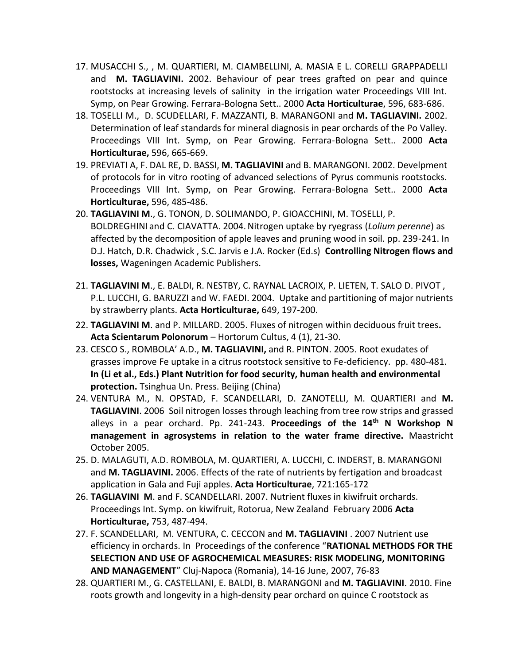- 17. MUSACCHI S., , M. QUARTIERI, M. CIAMBELLINI, A. MASIA E L. CORELLI GRAPPADELLI and **M. TAGLIAVINI.** 2002. Behaviour of pear trees grafted on pear and quince rootstocks at increasing levels of salinity in the irrigation water Proceedings VIII Int. Symp, on Pear Growing. Ferrara-Bologna Sett.. 2000 **Acta Horticulturae**, 596, 683-686.
- 18. TOSELLI M., D. SCUDELLARI, F. MAZZANTI, B. MARANGONI and **M. TAGLIAVINI.** 2002. Determination of leaf standards for mineral diagnosis in pear orchards of the Po Valley. Proceedings VIII Int. Symp, on Pear Growing. Ferrara-Bologna Sett.. 2000 **Acta Horticulturae,** 596, 665-669.
- 19. PREVIATI A, F. DAL RE, D. BASSI, **M. TAGLIAVINI** and B. MARANGONI. 2002. Develpment of protocols for in vitro rooting of advanced selections of Pyrus communis rootstocks. Proceedings VIII Int. Symp, on Pear Growing. Ferrara-Bologna Sett.. 2000 **Acta Horticulturae,** 596, 485-486.
- 20. **TAGLIAVINI M**., G. TONON, D. SOLIMANDO, P. GIOACCHINI, M. TOSELLI, P. BOLDREGHINI and C. CIAVATTA. 2004.Nitrogen uptake by ryegrass (*Lolium perenne*) as affected by the decomposition of apple leaves and pruning wood in soil. pp. 239-241. In D.J. Hatch, D.R. Chadwick , S.C. Jarvis e J.A. Rocker (Ed.s) **Controlling Nitrogen flows and losses,** Wageningen Academic Publishers.
- 21. **TAGLIAVINI M**., E. BALDI, R. NESTBY, C. RAYNAL LACROIX, P. LIETEN, T. SALO D. PIVOT , P.L. LUCCHI, G. BARUZZI and W. FAEDI. 2004. Uptake and partitioning of major nutrients by strawberry plants. **Acta Horticulturae,** 649, 197-200.
- 22. **TAGLIAVINI M**. and P. MILLARD. 2005. Fluxes of nitrogen within deciduous fruit trees**. Acta Scientarum Polonorum** – Hortorum Cultus, 4 (1), 21-30.
- 23. CESCO S., ROMBOLA' A.D., **M. TAGLIAVINI,** and R. PINTON. 2005. Root exudates of grasses improve Fe uptake in a citrus rootstock sensitive to Fe-deficiency. pp. 480-481. **In (Li et al., Eds.) Plant Nutrition for food security, human health and environmental protection.** Tsinghua Un. Press. Beijing (China)
- 24. VENTURA M., N. OPSTAD, F. SCANDELLARI, D. ZANOTELLI, M. QUARTIERI and **M. TAGLIAVINI**. 2006 Soil nitrogen losses through leaching from tree row strips and grassed alleys in a pear orchard. Pp. 241-243. **Proceedings of the 14th N Workshop N management in agrosystems in relation to the water frame directive.** Maastricht October 2005.
- 25. D. MALAGUTI, A.D. ROMBOLA, M. QUARTIERI, A. LUCCHI, C. INDERST, B. MARANGONI and **M. TAGLIAVINI.** 2006. Effects of the rate of nutrients by fertigation and broadcast application in Gala and Fuji apples. **Acta Horticulturae**, 721:165-172
- 26. **TAGLIAVINI M**. and F. SCANDELLARI. 2007. Nutrient fluxes in kiwifruit orchards. Proceedings Int. Symp. on kiwifruit, Rotorua, New Zealand February 2006 **Acta Horticulturae,** 753, 487-494.
- 27. F. SCANDELLARI, M. VENTURA, C. CECCON and **M. TAGLIAVINI** . 2007 Nutrient use efficiency in orchards. In Proceedings of the conference "**RATIONAL METHODS FOR THE SELECTION AND USE OF AGROCHEMICAL MEASURES: RISK MODELING, MONITORING AND MANAGEMENT**" Cluj-Napoca (Romania), 14-16 June, 2007, 76-83
- 28. QUARTIERI M., G. CASTELLANI, E. BALDI, B. MARANGONI and **M. TAGLIAVINI**. 2010. Fine roots growth and longevity in a high-density pear orchard on quince C rootstock as